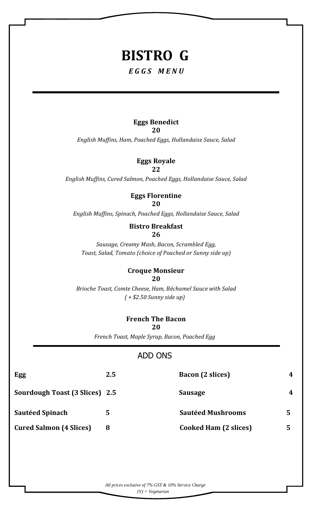# **BISTRO G**

## *E G G S M E N U*

# **Eggs Benedict**

**20**

*English Muffins, Ham, Poached Eggs, Hollandaise Sauce, Salad*

#### **Eggs Royale 22**

*English Muffins, Cured Salmon, Poached Eggs, Hollandaise Sauce, Salad*

#### **Eggs Florentine 20**

*English Muffins, Spinach, Poached Eggs, Hollandaise Sauce, Salad*

#### **Bistro Breakfast 26**

*Sausage, Creamy Mash, Bacon, Scrambled Egg, Toast, Salad, Tomato (choice of Poached or Sunny side up)*

#### **Croque Monsieur 20**

*Brioche Toast, Comte Cheese, Ham, Béchamel Sauce with Salad ( + \$2.50 Sunny side up)*

## **French The Bacon**

**20**

*French Toast, Maple Syrup, Bacon, Poached Egg*

## ADD ONS

| Egg                                   | 2.5 | <b>Bacon</b> (2 slices)      | 4 |
|---------------------------------------|-----|------------------------------|---|
| <b>Sourdough Toast (3 Slices) 2.5</b> |     | Sausage                      | 4 |
| <b>Sautéed Spinach</b>                |     | <b>Sautéed Mushrooms</b>     |   |
| <b>Cured Salmon (4 Slices)</b>        |     | <b>Cooked Ham (2 slices)</b> |   |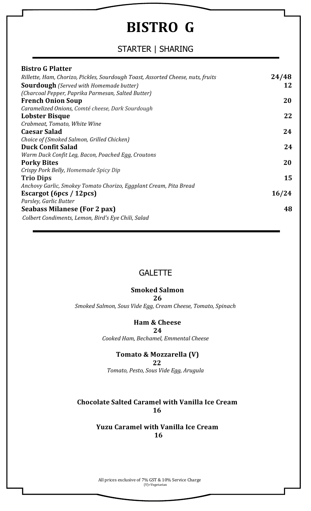# **BISTRO G**

# STARTER | SHARING

| <b>Bistro G Platter</b>                                                         |       |
|---------------------------------------------------------------------------------|-------|
| Rillette, Ham, Chorizo, Pickles, Sourdough Toast, Assorted Cheese, nuts, fruits | 24/48 |
| <b>Sourdough</b> (Served with Homemade butter)                                  | 12    |
| (Charcoal Pepper, Paprika Parmesan, Salted Butter)                              |       |
| <b>French Onion Soup</b>                                                        | 20    |
| Caramelized Onions, Comté cheese, Dark Sourdough                                |       |
| Lobster Bisque                                                                  | 22    |
| Crabmeat, Tomato, White Wine                                                    |       |
| <b>Caesar Salad</b>                                                             | 24    |
| Choice of (Smoked Salmon, Grilled Chicken)                                      |       |
| <b>Duck Confit Salad</b>                                                        | 24    |
| Warm Duck Confit Leg, Bacon, Poached Egg, Croutons                              |       |
| <b>Porky Bites</b>                                                              | 20    |
| Crispy Pork Belly, Homemade Spicy Dip                                           |       |
| <b>Trio Dips</b>                                                                | 15    |
| Anchovy Garlic, Smokey Tomato Chorizo, Eggplant Cream, Pita Bread               |       |
| Escargot (6pcs / 12pcs)                                                         | 16/24 |
| Parsley, Garlic Butter                                                          |       |
| <b>Seabass Milanese (For 2 pax)</b>                                             | 48    |
| Colbert Condiments, Lemon, Bird's Eye Chili, Salad                              |       |

## **GALETTE**

#### **Smoked Salmon**

**26**

*Smoked Salmon, Sous Vide Egg, Cream Cheese, Tomato, Spinach*

#### **Ham & Cheese**

**24**

*Cooked Ham, Bechamel, Emmental Cheese*

## **Tomato & Mozzarella (V)**

 **22**

*Tomato, Pesto, Sous Vide Egg, Arugula*

## **Chocolate Salted Caramel with Vanilla Ice Cream 16**

**Yuzu Caramel with Vanilla Ice Cream 16**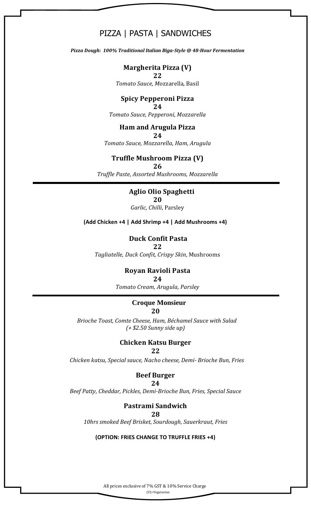## PIZZA | PASTA | SANDWICHES

*Pizza Dough: 100% Traditional Italian Biga-Style @ 48-Hour Fermentation*

**Margherita Pizza (V) 22**

*Tomato Sauce, M*ozzarella, Basil

#### **Spicy Pepperoni Pizza 24**

*Tomato Sauce, Pepperoni, Mozzarella*

#### **Ham and Arugula Pizza**

**24** *Tomato Sauce, Mozzarella*, *Ham, Arugula*

#### **Truffle Mushroom Pizza (V)**

**26**

*Truffle Paste, Assorted Mushrooms*, *Mozzarella*

## **Aglio Olio Spaghetti**

**20**

*Garlic, Chilli*, Parsley

**(Add Chicken +4 | Add Shrimp +4 | Add Mushrooms +4)**

#### **Duck Confit Pasta**

**22**

*Tagliatelle, Duck Confit, Crispy Skin*, Mushrooms

#### **Royan Ravioli Pasta**

**24**

*Tomato Cream, Arugula, Parsley*

#### **Croque Monsieur 20**

*Brioche Toast, Comte Cheese, Ham, Béchamel Sauce with Salad (+ \$2.50 Sunny side up)*

#### **Chicken Katsu Burger**

#### **22**

*Chicken katsu, Special sauce, Nacho cheese, Demi- Brioche Bun, Fries*

#### **Beef Burger**

#### **24**

*Beef Patty, Cheddar, Pickles, Demi-Brioche Bun, Fries, Special Sauce*

## **Pastrami Sandwich**

#### **28**

*10hrs smoked Beef Brisket, Sourdough, Sauerkraut, Fries*

#### **(OPTION: FRIES CHANGE TO TRUFFLE FRIES +4)**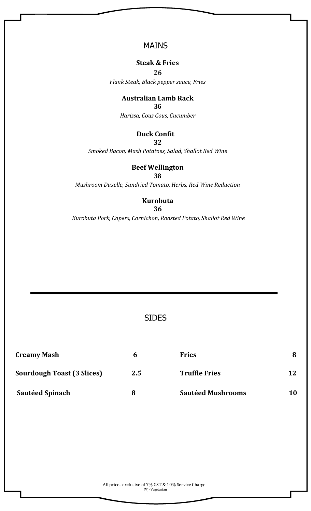## MAINS

#### **Steak & Fries**

**26** *Flank Steak, Black pepper sauce, Fries*

#### **Australian Lamb Rack**

**36**

*Harissa, Cous Cous, Cucumber*

### **Duck Confit**

**32**

*Smoked Bacon, Mash Potatoes, Salad, Shallot Red Wine* 

### **Beef Wellington**

**38**

*Mushroom Duxelle, Sundried Tomato, Herbs, Red Wine Reduction*

## **Kurobuta**

**36**

*Kurobuta Pork, Capers, Cornichon, Roasted Potato, Shallot Red Wine*

## SIDES

| <b>Creamy Mash</b>                | h   | <b>Fries</b>             | 8  |
|-----------------------------------|-----|--------------------------|----|
| <b>Sourdough Toast (3 Slices)</b> | 2.5 | <b>Truffle Fries</b>     | 12 |
| <b>Sautéed Spinach</b>            | 8   | <b>Sautéed Mushrooms</b> | 10 |